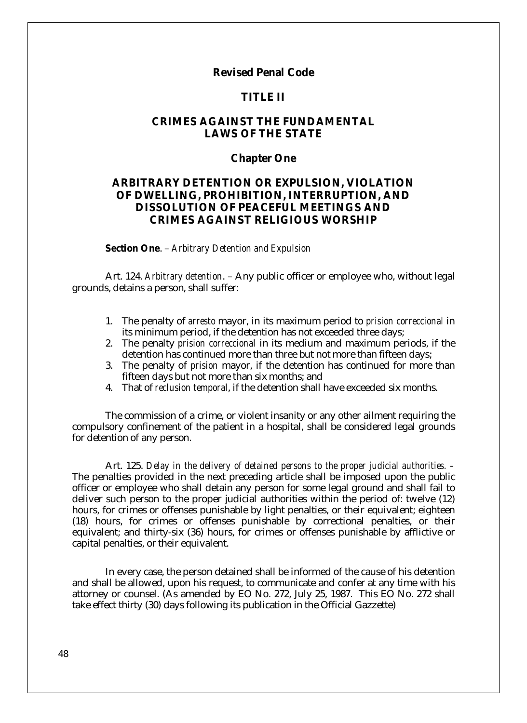# **Revised Penal Code**

# **TITLE II**

# **CRIMES AGAINST THE FUNDAMENTAL LAWS OF THE STATE**

## **Chapter One**

# **ARBITRARY DETENTION OR EXPULSION, VIOLATION OF DWELLING, PROHIBITION, INTERRUPTION, AND DISSOLUTION OF PEACEFUL MEETINGS AND CRIMES AGAINST RELIGIOUS WORSHIP**

**Section One**. – *Arbitrary Detention and Expulsion* 

Art. 124. *Arbitrary detention*. – Any public officer or employee who, without legal grounds, detains a person, shall suffer:

- 1. The penalty of *arresto* mayor, in its maximum period to *prision correccional* in its minimum period, if the detention has not exceeded three days;
- 2. The penalty *prision correccional* in its medium and maximum periods, if the detention has continued more than three but not more than fifteen days;
- 3. The penalty of *prision* mayor, if the detention has continued for more than fifteen days but not more than six months; and
- 4. That of *reclusion temporal*, if the detention shall have exceeded six months.

The commission of a crime, or violent insanity or any other ailment requiring the compulsory confinement of the patient in a hospital, shall be considered legal grounds for detention of any person.

Art. 125. *Delay in the delivery of detained persons to the proper judicial authorities. –* The penalties provided in the next preceding article shall be imposed upon the public officer or employee who shall detain any person for some legal ground and shall fail to deliver such person to the proper judicial authorities within the period of: twelve (12) hours, for crimes or offenses punishable by light penalties, or their equivalent; eighteen (18) hours, for crimes or offenses punishable by correctional penalties, or their equivalent; and thirty-six (36) hours, for crimes or offenses punishable by afflictive or capital penalties, or their equivalent.

In every case, the person detained shall be informed of the cause of his detention and shall be allowed, upon his request, to communicate and confer at any time with his attorney or counsel. (As amended by EO No. 272, July 25, 1987. This EO No. 272 shall take effect thirty (30) days following its publication in the Official Gazzette)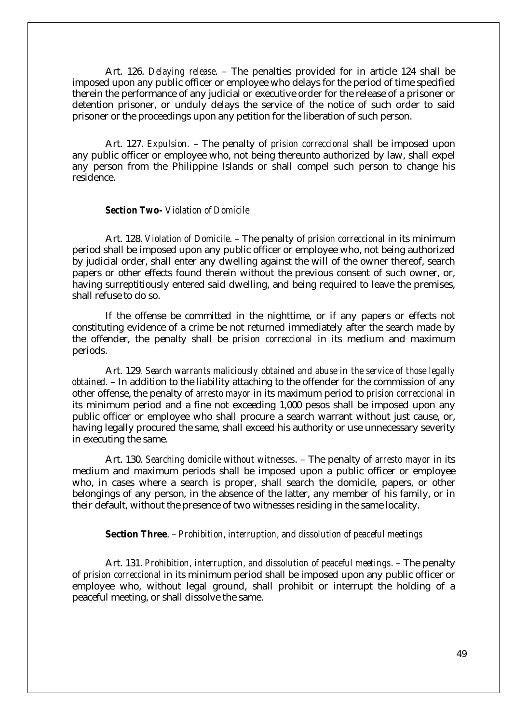Art. 126. *Delaying release*. – The penalties provided for in article 124 shall be imposed upon any public officer or employee who delays for the period of time specified therein the performance of any judicial or executive order for the release of a prisoner or detention prisoner, or unduly delays the service of the notice of such order to said prisoner or the proceedings upon any petition for the liberation of such person.

Art. 127. *Expulsion.* – The penalty of *prision correccional* shall be imposed upon any public officer or employee who, not being thereunto authorized by law, shall expel any person from the Philippine Islands or shall compel such person to change his residence.

*Section Two- Violation of Domicile*

Art. 128. *Violation of Domicile*. – The penalty of *prision correccional* in its minimum period shall be imposed upon any public officer or employee who, not being authorized by judicial order, shall enter any dwelling against the will of the owner thereof, search papers or other effects found therein without the previous consent of such owner, or, having surreptitiously entered said dwelling, and being required to leave the premises, shall refuse to do so.

If the offense be committed in the nighttime, or if any papers or effects not constituting evidence of a crime be not returned immediately after the search made by the offender, the penalty shall be *prision correccional* in its medium and maximum periods.

Art. 129*. Search warrants maliciously obtained and abuse in the service of those legally obtained.* – In addition to the liability attaching to the offender for the commission of any other offense, the penalty of *arresto mayor* in its maximum period to *prision correccional* in its minimum period and a fine not exceeding 1,000 pesos shall be imposed upon any public officer or employee who shall procure a search warrant without just cause, or, having legally procured the same, shall exceed his authority or use unnecessary severity in executing the same.

Art. 130. *Searching domicile without witnesses*. – The penalty of *arresto mayor* in its medium and maximum periods shall be imposed upon a public officer or employee who, in cases where a search is proper, shall search the domicile, papers, or other belongings of any person, in the absence of the latter, any member of his family, or in their default, without the presence of two witnesses residing in the same locality.

**Section Three**. – *Prohibition, interruption, and dissolution of peaceful meetings*

Art. 131. *Prohibition, interruption, and dissolution of peaceful meetings*. – The penalty of *prision correccional* in its minimum period shall be imposed upon any public officer or employee who, without legal ground, shall prohibit or interrupt the holding of a peaceful meeting, or shall dissolve the same.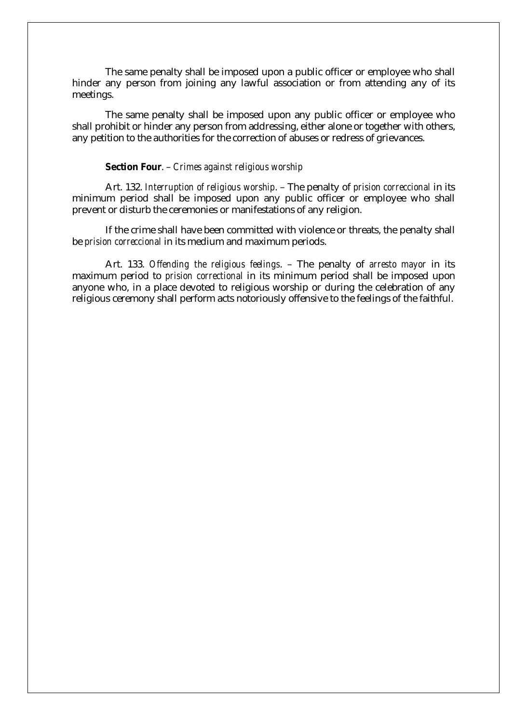The same penalty shall be imposed upon a public officer or employee who shall hinder any person from joining any lawful association or from attending any of its meetings.

The same penalty shall be imposed upon any public officer or employee who shall prohibit or hinder any person from addressing, either alone or together with others, any petition to the authorities for the correction of abuses or redress of grievances.

### **Section Four**. – *Crimes against religious worship*

Art. 132. *Interruption of religious worship*. – The penalty of *prision correccional* in its minimum period shall be imposed upon any public officer or employee who shall prevent or disturb the ceremonies or manifestations of any religion.

If the crime shall have been committed with violence or threats, the penalty shall be *prision correccional* in its medium and maximum periods.

Art. 133. *Offending the religious feelings*. – The penalty of *arresto mayor* in its maximum period to *prision correctional* in its minimum period shall be imposed upon anyone who, in a place devoted to religious worship or during the celebration of any religious ceremony shall perform acts notoriously offensive to the feelings of the faithful.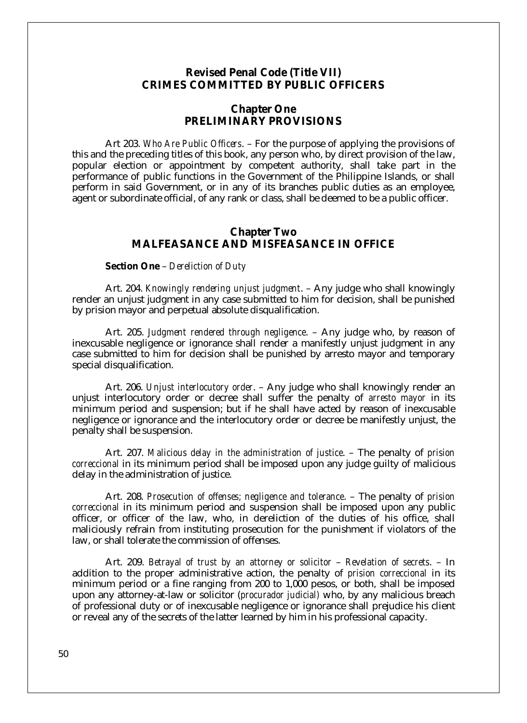## **Revised Penal Code (Title VII) CRIMES COMMITTED BY PUBLIC OFFICERS**

## **Chapter One PRELIMINARY PROVISIONS**

Art 203. *Who Are Public Officers*. – For the purpose of applying the provisions of this and the preceding titles of this book, any person who, by direct provision of the law, popular election or appointment by competent authority, shall take part in the performance of public functions in the Government of the Philippine Islands, or shall perform in said Government, or in any of its branches public duties as an employee, agent or subordinate official, of any rank or class, shall be deemed to be a public officer.

## **Chapter Two MALFEASANCE AND MISFEASANCE IN OFFICE**

#### **Section One** – *Dereliction of Duty*

Art. 204. *Knowingly rendering unjust judgment*. – Any judge who shall knowingly render an unjust judgment in any case submitted to him for decision, shall be punished by prision mayor and perpetual absolute disqualification.

Art. 205. *Judgment rendered through negligence*. – Any judge who, by reason of inexcusable negligence or ignorance shall render a manifestly unjust judgment in any case submitted to him for decision shall be punished by arresto mayor and temporary special disqualification.

Art. 206. *Unjust interlocutory order*. – Any judge who shall knowingly render an unjust interlocutory order or decree shall suffer the penalty of *arresto mayor* in its minimum period and suspension; but if he shall have acted by reason of inexcusable negligence or ignorance and the interlocutory order or decree be manifestly unjust, the penalty shall be suspension.

Art. 207. *Malicious delay in the administration of justice*. – The penalty of *prision correccional* in its minimum period shall be imposed upon any judge guilty of malicious delay in the administration of justice.

Art. 208. *Prosecution of offenses; negligence and tolerance*. – The penalty of *prision correccional* in its minimum period and suspension shall be imposed upon any public officer, or officer of the law, who, in dereliction of the duties of his office, shall maliciously refrain from instituting prosecution for the punishment if violators of the law, or shall tolerate the commission of offenses.

Art. 209. *Betrayal of trust by an attorney or solicitor* – *Revelation of secrets*. – In addition to the proper administrative action, the penalty of *prision correccional* in its minimum period or a fine ranging from 200 to 1,000 pesos, or both, shall be imposed upon any attorney-at-law or solicitor (*procurador judicial)* who, by any malicious breach of professional duty or of inexcusable negligence or ignorance shall prejudice his client or reveal any of the secrets of the latter learned by him in his professional capacity.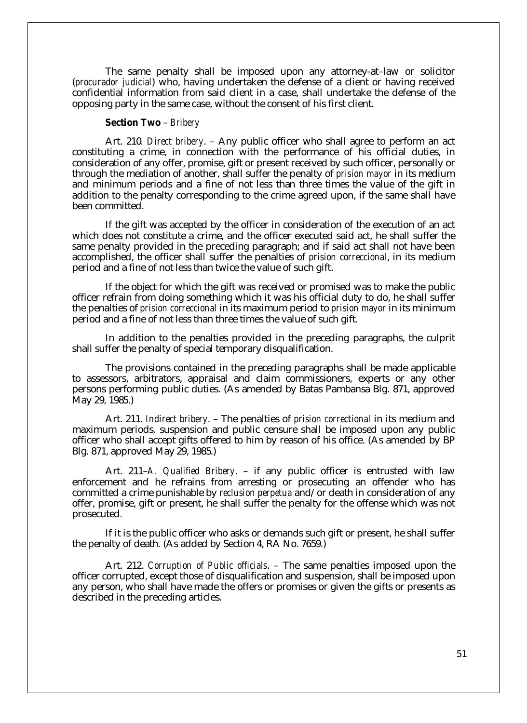The same penalty shall be imposed upon any attorney-at–law or solicitor (*procurador judicial*) who, having undertaken the defense of a client or having received confidential information from said client in a case, shall undertake the defense of the opposing party in the same case, without the consent of his first client.

### **Section Two** – *Bribery*

Art. 210*. Direct bribery*. – Any public officer who shall agree to perform an act constituting a crime, in connection with the performance of his official duties, in consideration of any offer, promise, gift or present received by such officer, personally or through the mediation of another, shall suffer the penalty of *prision mayor* in its medium and minimum periods and a fine of not less than three times the value of the gift in addition to the penalty corresponding to the crime agreed upon, if the same shall have been committed.

If the gift was accepted by the officer in consideration of the execution of an act which does not constitute a crime, and the officer executed said act, he shall suffer the same penalty provided in the preceding paragraph; and if said act shall not have been accomplished, the officer shall suffer the penalties of *prision correccional*, in its medium period and a fine of not less than twice the value of such gift.

If the object for which the gift was received or promised was to make the public officer refrain from doing something which it was his official duty to do, he shall suffer the penalties of *prision correccional* in its maximum period to *prision mayor* in its minimum period and a fine of not less than three times the value of such gift.

In addition to the penalties provided in the preceding paragraphs, the culprit shall suffer the penalty of special temporary disqualification.

The provisions contained in the preceding paragraphs shall be made applicable to assessors, arbitrators, appraisal and claim commissioners, experts or any other persons performing public duties. (As amended by Batas Pambansa Blg. 871, approved May 29, 1985.)

Art. 211. *Indirect bribery*. – The penalties of *prision correctional* in its medium and maximum periods*,* suspension and public censure shall be imposed upon any public officer who shall accept gifts offered to him by reason of his office. (As amended by BP Blg. 871, approved May 29, 1985.)

Art. 211–*A. Qualified Bribery*. – if any public officer is entrusted with law enforcement and he refrains from arresting or prosecuting an offender who has committed a crime punishable by *reclusion perpetua* and/or death in consideration of any offer, promise, gift or present, he shall suffer the penalty for the offense which was not prosecuted.

If it is the public officer who asks or demands such gift or present, he shall suffer the penalty of death. (As added by Section 4, RA No. 7659.)

Art. 212. *Corruption of Public officials*. – The same penalties imposed upon the officer corrupted, except those of disqualification and suspension, shall be imposed upon any person, who shall have made the offers or promises or given the gifts or presents as described in the preceding articles.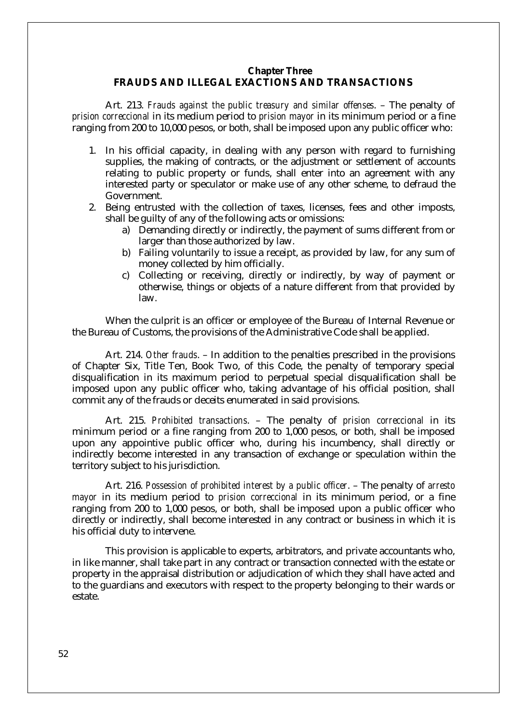### **Chapter Three**

## **FRAUDS AND ILLEGAL EXACTIONS AND TRANSACTIONS**

Art. 213. *Frauds against the public treasury and similar offenses*. – The penalty of *prision correccional* in its medium period to *prision mayor* in its minimum period or a fine ranging from 200 to 10,000 pesos, or both, shall be imposed upon any public officer who:

- 1. In his official capacity, in dealing with any person with regard to furnishing supplies, the making of contracts, or the adjustment or settlement of accounts relating to public property or funds, shall enter into an agreement with any interested party or speculator or make use of any other scheme, to defraud the Government.
- 2. Being entrusted with the collection of taxes, licenses, fees and other imposts, shall be guilty of any of the following acts or omissions:
	- a) Demanding directly or indirectly, the payment of sums different from or larger than those authorized by law.
	- b) Failing voluntarily to issue a receipt, as provided by law, for any sum of money collected by him officially.
	- c) Collecting or receiving, directly or indirectly, by way of payment or otherwise, things or objects of a nature different from that provided by law.

When the culprit is an officer or employee of the Bureau of Internal Revenue or the Bureau of Customs, the provisions of the Administrative Code shall be applied.

Art. 214. *Other frauds*. – In addition to the penalties prescribed in the provisions of Chapter Six, Title Ten, Book Two, of this Code, the penalty of temporary special disqualification in its maximum period to perpetual special disqualification shall be imposed upon any public officer who, taking advantage of his official position, shall commit any of the frauds or deceits enumerated in said provisions.

Art. 215. *Prohibited transactions*. – The penalty of *prision correccional* in its minimum period or a fine ranging from 200 to 1,000 pesos, or both, shall be imposed upon any appointive public officer who, during his incumbency, shall directly or indirectly become interested in any transaction of exchange or speculation within the territory subject to his jurisdiction.

Art. 216. *Possession of prohibited interest by a public officer*. – The penalty of *arresto mayor* in its medium period to *prision correccional* in its minimum period, or a fine ranging from 200 to 1,000 pesos, or both, shall be imposed upon a public officer who directly or indirectly, shall become interested in any contract or business in which it is his official duty to intervene.

This provision is applicable to experts, arbitrators, and private accountants who, in like manner, shall take part in any contract or transaction connected with the estate or property in the appraisal distribution or adjudication of which they shall have acted and to the guardians and executors with respect to the property belonging to their wards or estate.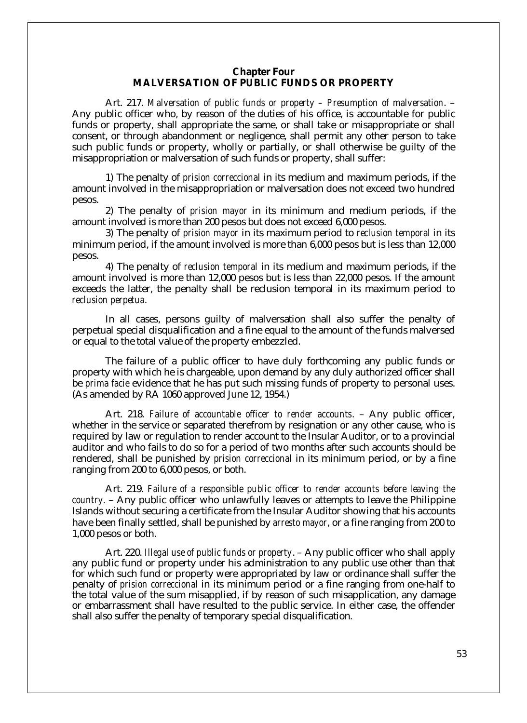## **Chapter Four MALVERSATION OF PUBLIC FUNDS OR PROPERTY**

Art. 217. *Malversation of public funds or property – Presumption of malversation*. – Any public officer who, by reason of the duties of his office, is accountable for public funds or property, shall appropriate the same, or shall take or misappropriate or shall consent, or through abandonment or negligence, shall permit any other person to take such public funds or property, wholly or partially, or shall otherwise be guilty of the misappropriation or malversation of such funds or property, shall suffer:

1) The penalty of *prision correccional* in its medium and maximum periods, if the amount involved in the misappropriation or malversation does not exceed two hundred pesos.

2) The penalty of *prision mayor* in its minimum and medium periods, if the amount involved is more than 200 pesos but does not exceed 6,000 pesos.

3) The penalty of *prision mayor* in its maximum period to *reclusion temporal* in its minimum period, if the amount involved is more than 6,000 pesos but is less than 12,000 pesos.

4) The penalty of *reclusion temporal* in its medium and maximum periods, if the amount involved is more than 12,000 pesos but is less than 22,000 pesos. If the amount exceeds the latter, the penalty shall be reclusion temporal in its maximum period to *reclusion perpetua*.

In all cases, persons guilty of malversation shall also suffer the penalty of perpetual special disqualification and a fine equal to the amount of the funds malversed or equal to the total value of the property embezzled.

The failure of a public officer to have duly forthcoming any public funds or property with which he is chargeable, upon demand by any duly authorized officer shall be *prima facie* evidence that he has put such missing funds of property to personal uses. (As amended by RA 1060 approved June 12, 1954.)

Art. 218. *Failure of accountable officer to render accounts*. – Any public officer, whether in the service or separated therefrom by resignation or any other cause, who is required by law or regulation to render account to the Insular Auditor, or to a provincial auditor and who fails to do so for a period of two months after such accounts should be rendered, shall be punished by *prision correccional* in its minimum period, or by a fine ranging from 200 to 6,000 pesos, or both.

Art. 219. *Failure of a responsible public officer to render accounts before leaving the country.* – Any public officer who unlawfully leaves or attempts to leave the Philippine Islands without securing a certificate from the Insular Auditor showing that his accounts have been finally settled, shall be punished by *arresto mayor*, or a fine ranging from 200 to 1,000 pesos or both.

Art. 220. *Illegal use of public funds or property*. – Any public officer who shall apply any public fund or property under his administration to any public use other than that for which such fund or property were appropriated by law or ordinance shall suffer the penalty of *prision correccional* in its minimum period or a fine ranging from one-half to the total value of the sum misapplied, if by reason of such misapplication, any damage or embarrassment shall have resulted to the public service. In either case, the offender shall also suffer the penalty of temporary special disqualification.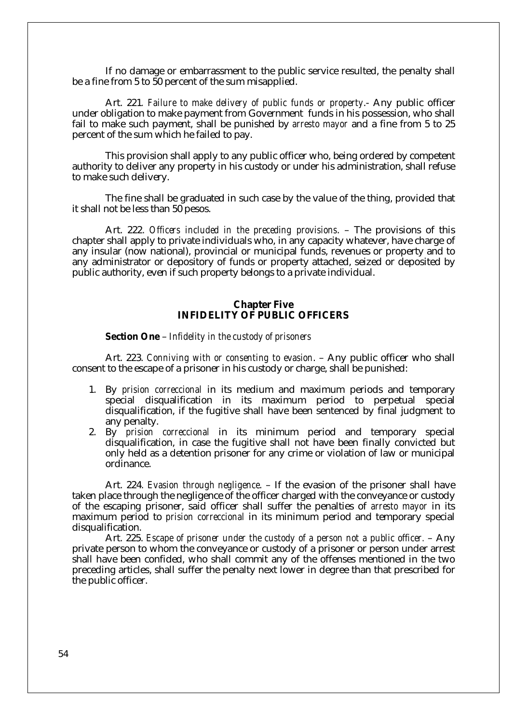If no damage or embarrassment to the public service resulted, the penalty shall be a fine from 5 to 50 percent of the sum misapplied.

Art. 221*. Failure to make delivery of public funds or property*.- Any public officer under obligation to make payment from Government funds in his possession, who shall fail to make such payment, shall be punished by *arresto mayor* and a fine from 5 to 25 percent of the sum which he failed to pay.

This provision shall apply to any public officer who, being ordered by competent authority to deliver any property in his custody or under his administration, shall refuse to make such delivery.

The fine shall be graduated in such case by the value of the thing, provided that it shall not be less than 50 pesos.

Art. 222. *Officers included in the preceding provisions*. – The provisions of this chapter shall apply to private individuals who, in any capacity whatever, have charge of any insular (now national), provincial or municipal funds, revenues or property and to any administrator or depository of funds or property attached, seized or deposited by public authority, even if such property belongs to a private individual.

## **Chapter Five INFIDELITY OF PUBLIC OFFICERS**

**Section One** – *Infidelity in the custody of prisoners*

Art. 223. *Conniving with or consenting to evasion*. – Any public officer who shall consent to the escape of a prisoner in his custody or charge, shall be punished:

- 1. By *prision correccional* in its medium and maximum periods and temporary special disqualification in its maximum period to perpetual special disqualification, if the fugitive shall have been sentenced by final judgment to any penalty.
- 2. By *prision correccional* in its minimum period and temporary special disqualification, in case the fugitive shall not have been finally convicted but only held as a detention prisoner for any crime or violation of law or municipal ordinance.

Art. 224. *Evasion through negligence*. – If the evasion of the prisoner shall have taken place through the negligence of the officer charged with the conveyance or custody of the escaping prisoner, said officer shall suffer the penalties of *arresto mayor* in its maximum period to *prision correccional* in its minimum period and temporary special disqualification.

Art. 225. *Escape of prisoner under the custody of a person not a public officer.* – Any private person to whom the conveyance or custody of a prisoner or person under arrest shall have been confided, who shall commit any of the offenses mentioned in the two preceding articles, shall suffer the penalty next lower in degree than that prescribed for the public officer.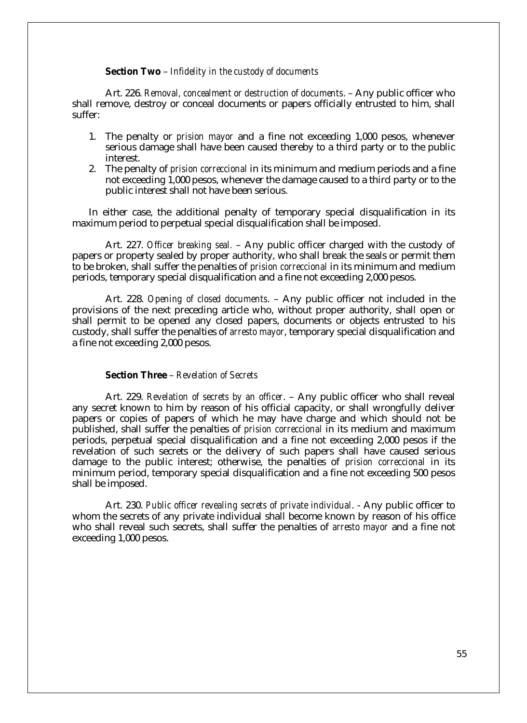**Section Two** – *Infidelity in the custody of documents*

Art. 226. *Removal, concealment or destruction of documents*. – Any public officer who shall remove, destroy or conceal documents or papers officially entrusted to him, shall suffer:

- 1. The penalty or *prision mayor* and a fine not exceeding 1,000 pesos, whenever serious damage shall have been caused thereby to a third party or to the public interest.
- 2. The penalty of *prision correccional* in its minimum and medium periods and a fine not exceeding 1,000 pesos, whenever the damage caused to a third party or to the public interest shall not have been serious.

In either case, the additional penalty of temporary special disqualification in its maximum period to perpetual special disqualification shall be imposed.

Art. 227. *Officer breaking seal.* – Any public officer charged with the custody of papers or property sealed by proper authority, who shall break the seals or permit them to be broken, shall suffer the penalties of *prision correccional* in its minimum and medium periods, temporary special disqualification and a fine not exceeding 2,000 pesos.

Art. 228. *Opening of closed documents*. – Any public officer not included in the provisions of the next preceding article who, without proper authority, shall open or shall permit to be opened any closed papers, documents or objects entrusted to his custody, shall suffer the penalties of *arresto mayor*, temporary special disqualification and a fine not exceeding 2,000 pesos.

### **Section Three** – *Revelation of Secrets*

Art. 229. *Revelation of secrets by an officer*. – Any public officer who shall reveal any secret known to him by reason of his official capacity, or shall wrongfully deliver papers or copies of papers of which he may have charge and which should not be published, shall suffer the penalties of *prision correccional* in its medium and maximum periods, perpetual special disqualification and a fine not exceeding 2,000 pesos if the revelation of such secrets or the delivery of such papers shall have caused serious damage to the public interest; otherwise, the penalties of *prision correccional* in its minimum period, temporary special disqualification and a fine not exceeding 500 pesos shall be imposed.

Art. 230. *Public officer revealing secrets of private individual*. - Any public officer to whom the secrets of any private individual shall become known by reason of his office who shall reveal such secrets, shall suffer the penalties of *arresto mayor* and a fine not exceeding 1,000 pesos.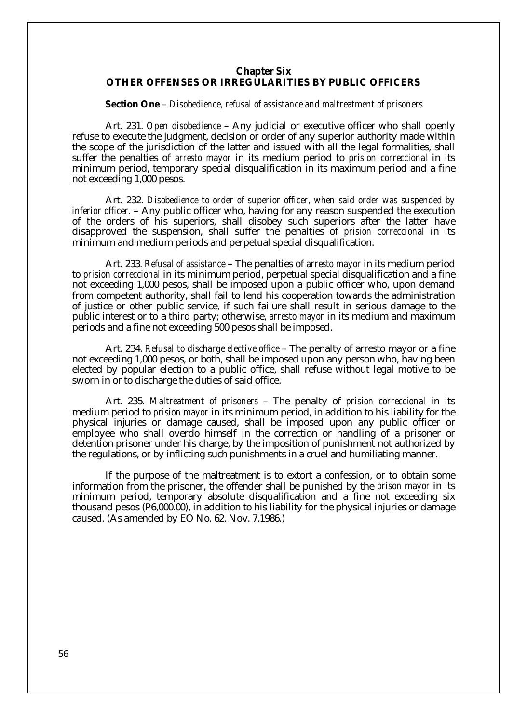## **Chapter Six**

## **OTHER OFFENSES OR IRREGULARITIES BY PUBLIC OFFICERS**

**Section One** – *Disobedience, refusal of assistance and maltreatment of prisoners*

Art. 231. *Open disobedience* – Any judicial or executive officer who shall openly refuse to execute the judgment, decision or order of any superior authority made within the scope of the jurisdiction of the latter and issued with all the legal formalities, shall suffer the penalties of *arresto mayor* in its medium period to *prision correccional* in its minimum period, temporary special disqualification in its maximum period and a fine not exceeding 1,000 pesos.

Art. 232. *Disobedience to order of superior officer, when said order was suspended by inferior officer.* – Any public officer who, having for any reason suspended the execution of the orders of his superiors, shall disobey such superiors after the latter have disapproved the suspension, shall suffer the penalties of *prision correccional* in its minimum and medium periods and perpetual special disqualification.

Art. 233. *Refusal of assistance* – The penalties of *arresto mayor* in its medium period to *prision correccional* in its minimum period, perpetual special disqualification and a fine not exceeding 1,000 pesos, shall be imposed upon a public officer who, upon demand from competent authority, shall fail to lend his cooperation towards the administration of justice or other public service, if such failure shall result in serious damage to the public interest or to a third party; otherwise, *arresto mayor* in its medium and maximum periods and a fine not exceeding 500 pesos shall be imposed.

Art. 234. *Refusal to discharge elective office* – The penalty of arresto mayor or a fine not exceeding 1,000 pesos, or both, shall be imposed upon any person who, having been elected by popular election to a public office, shall refuse without legal motive to be sworn in or to discharge the duties of said office.

Art. 235. *Maltreatment of prisoners* – The penalty of *prision correccional* in its medium period to *prision mayor* in its minimum period, in addition to his liability for the physical injuries or damage caused, shall be imposed upon any public officer or employee who shall overdo himself in the correction or handling of a prisoner or detention prisoner under his charge, by the imposition of punishment not authorized by the regulations, or by inflicting such punishments in a cruel and humiliating manner.

If the purpose of the maltreatment is to extort a confession, or to obtain some information from the prisoner, the offender shall be punished by the *prison mayor* in its minimum period, temporary absolute disqualification and a fine not exceeding six thousand pesos (P6,000.00), in addition to his liability for the physical injuries or damage caused. (As amended by EO No. 62, Nov. 7,1986.)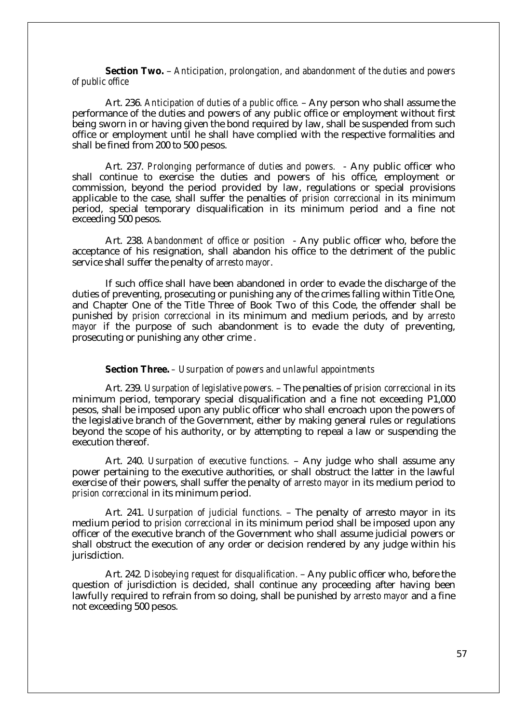**Section Two.** – *Anticipation, prolongation, and abandonment of the duties and powers of public office*

Art. 236. *Anticipation of duties of a public office.* – Any person who shall assume the performance of the duties and powers of any public office or employment without first being sworn in or having given the bond required by law, shall be suspended from such office or employment until he shall have complied with the respective formalities and shall be fined from 200 to 500 pesos.

Art. 237. *Prolonging performance of duties and powers.* - Any public officer who shall continue to exercise the duties and powers of his office, employment or commission, beyond the period provided by law, regulations or special provisions applicable to the case, shall suffer the penalties of *prision correccional* in its minimum period, special temporary disqualification in its minimum period and a fine not exceeding 500 pesos.

Art. 238. *Abandonment of office or position* - Any public officer who, before the acceptance of his resignation, shall abandon his office to the detriment of the public service shall suffer the penalty of *arresto mayor*.

If such office shall have been abandoned in order to evade the discharge of the duties of preventing, prosecuting or punishing any of the crimes falling within Title One, and Chapter One of the Title Three of Book Two of this Code, the offender shall be punished by *prision correccional* in its minimum and medium periods, and by *arresto mayor* if the purpose of such abandonment is to evade the duty of preventing, prosecuting or punishing any other crime .

**Section Three.** *– Usurpation of powers and unlawful appointments*

Art. 239. *Usurpation of legislative powers.* – The penalties of *prision correccional* in its minimum period, temporary special disqualification and a fine not exceeding P1,000 pesos, shall be imposed upon any public officer who shall encroach upon the powers of the legislative branch of the Government, either by making general rules or regulations beyond the scope of his authority, or by attempting to repeal a law or suspending the execution thereof.

Art. 240. *Usurpation of executive functions.* – Any judge who shall assume any power pertaining to the executive authorities, or shall obstruct the latter in the lawful exercise of their powers, shall suffer the penalty of *arresto mayor* in its medium period to *prision correccional* in its minimum period.

Art. 241. *Usurpation of judicial functions.* – The penalty of arresto mayor in its medium period to *prision correccional* in its minimum period shall be imposed upon any officer of the executive branch of the Government who shall assume judicial powers or shall obstruct the execution of any order or decision rendered by any judge within his jurisdiction.

Art. 242*. Disobeying request for disqualification.* – Any public officer who, before the question of jurisdiction is decided, shall continue any proceeding after having been lawfully required to refrain from so doing, shall be punished by *arresto mayor* and a fine not exceeding 500 pesos.